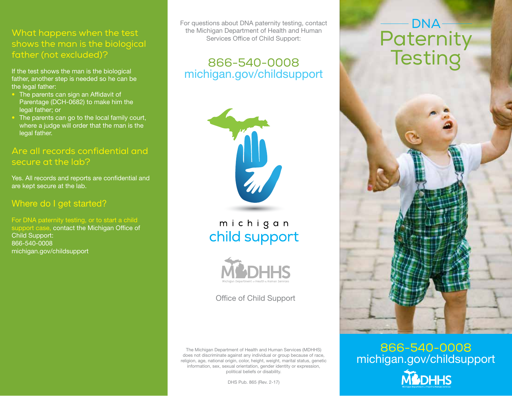#### What happens when the test shows the man is the biological father (not excluded)?

If the test shows the man is the biological father, another step is needed so he can be the legal father:

- The parents can sign an Affidavit of Parentage (DCH-0682) to make him the legal father; or
- The parents can go to the local family court, where a judge will order that the man is the legal father.

#### Are all records confidential and secure at the lab?

Yes. All records and reports are confidential and are kept secure at the lab.

#### Where do I get started?

For DNA paternity testing, or to start a child support case, contact the Michigan Office of Child Support: 866-540-0008 michigan.gov/childsupport

For questions about DNA paternity testing, contact the Michigan Department of Health and Human Services Office of Child Support:

# 866-540-0008 michigan.gov/childsupport



michigan child support



Office of Child Support

The Michigan Department of Health and Human Services (MDHHS) does not discriminate against any individual or group because of race, religion, age, national origin, color, height, weight, marital status, genetic information, sex, sexual orientation, gender identity or expression, political beliefs or disability.

DHS Pub. 865 (Rev. 2-17)

# DNA **Paternity Testing**